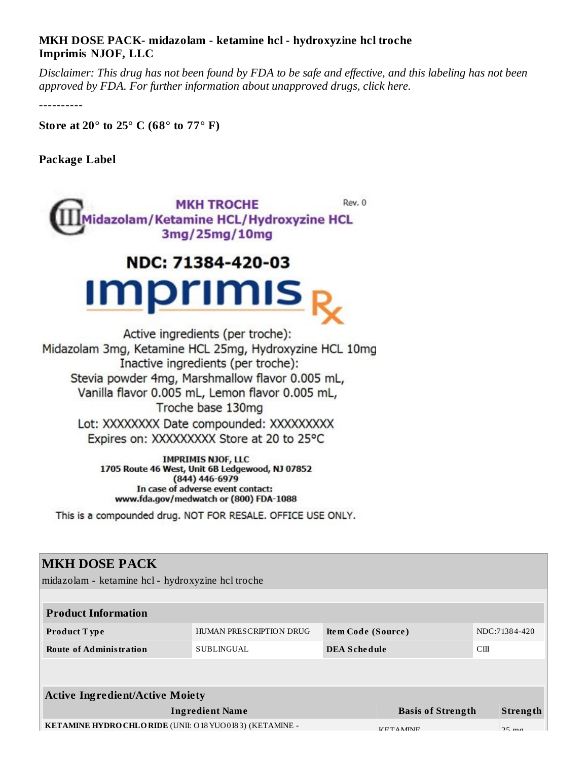#### **MKH DOSE PACK- midazolam - ketamine hcl - hydroxyzine hcl troche Imprimis NJOF, LLC**

Disclaimer: This drug has not been found by FDA to be safe and effective, and this labeling has not been *approved by FDA. For further information about unapproved drugs, click here.*

----------

**Store at 20° to 25° C (68° to 77° F)**

**Package Label**



# NDC: 71384-420-03 **Imprimis**

Active ingredients (per troche): Midazolam 3mg, Ketamine HCL 25mg, Hydroxyzine HCL 10mg Inactive ingredients (per troche): Stevia powder 4mg, Marshmallow flavor 0.005 mL, Vanilla flavor 0.005 mL, Lemon flavor 0.005 mL, Troche base 130mg Lot: XXXXXXXX Date compounded: XXXXXXXXX Expires on: XXXXXXXXX Store at 20 to 25°C

> **IMPRIMIS NJOF, LLC** 1705 Route 46 West, Unit 6B Ledgewood, NJ 07852  $(844)$  446-6979 In case of adverse event contact: www.fda.gov/medwatch or (800) FDA-1088

This is a compounded drug. NOT FOR RESALE. OFFICE USE ONLY.

#### **MKH DOSE PACK**

midazolam - ketamine hcl - hydroxyzine hcl troche

| <b>Product Information</b>             |                         |                     |                          |    |               |  |  |  |  |  |
|----------------------------------------|-------------------------|---------------------|--------------------------|----|---------------|--|--|--|--|--|
| <b>Product Type</b>                    | HUMAN PRESCRIPTION DRUG | Item Code (Source)  |                          |    | NDC:71384-420 |  |  |  |  |  |
| <b>Route of Administration</b>         | SUBLINGUAL              | <b>DEA Schedule</b> |                          | CШ |               |  |  |  |  |  |
|                                        |                         |                     |                          |    |               |  |  |  |  |  |
|                                        |                         |                     |                          |    |               |  |  |  |  |  |
| <b>Active Ingredient/Active Moiety</b> |                         |                     |                          |    |               |  |  |  |  |  |
| <b>Ingredient Name</b>                 |                         |                     | <b>Basis of Strength</b> |    | Strength      |  |  |  |  |  |

**KETAMINE HYDROCHLORIDE** (UNII: 018YUO0 I83) (KETAMINE - KETAMINE - KETAMINE 25 mg